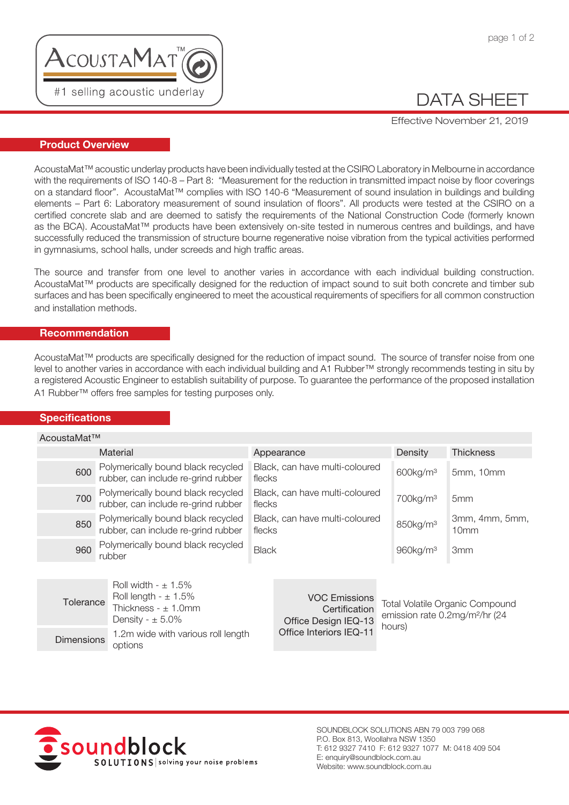

## DATA SHEET

Effective November 21, 2019

### Product Overview

AcoustaMat™ acoustic underlay products have been individually tested at the CSIRO Laboratory in Melbourne in accordance with the requirements of ISO 140-8 – Part 8: "Measurement for the reduction in transmitted impact noise by floor coverings on a standard floor". AcoustaMat™ complies with ISO 140-6 "Measurement of sound insulation in buildings and building elements – Part 6: Laboratory measurement of sound insulation of floors". All products were tested at the CSIRO on a certified concrete slab and are deemed to satisfy the requirements of the National Construction Code (formerly known as the BCA). AcoustaMat™ products have been extensively on-site tested in numerous centres and buildings, and have successfully reduced the transmission of structure bourne regenerative noise vibration from the typical activities performed in gymnasiums, school halls, under screeds and high traffic areas.

The source and transfer from one level to another varies in accordance with each individual building construction. AcoustaMat™ products are specifically designed for the reduction of impact sound to suit both concrete and timber sub surfaces and has been specifically engineered to meet the acoustical requirements of specifiers for all common construction and installation methods.

### Recommendation

AcoustaMat™ products are specifically designed for the reduction of impact sound. The source of transfer noise from one level to another varies in accordance with each individual building and A1 Rubber™ strongly recommends testing in situ by a registered Acoustic Engineer to establish suitability of purpose. To guarantee the performance of the proposed installation A1 Rubber™ offers free samples for testing purposes only.

### **Specifications**

| AcoustaMat™                                                                                                         |                                                                           |                                                 |                                          |        |                                                                                      |                                    |  |  |  |
|---------------------------------------------------------------------------------------------------------------------|---------------------------------------------------------------------------|-------------------------------------------------|------------------------------------------|--------|--------------------------------------------------------------------------------------|------------------------------------|--|--|--|
|                                                                                                                     | <b>Material</b>                                                           |                                                 | Appearance                               |        | Density                                                                              | <b>Thickness</b>                   |  |  |  |
| 600                                                                                                                 | Polymerically bound black recycled<br>rubber, can include re-grind rubber | flecks                                          | Black, can have multi-coloured           |        | 600kg/m <sup>3</sup>                                                                 | 5mm, 10mm                          |  |  |  |
| 700                                                                                                                 | Polymerically bound black recycled<br>rubber, can include re-grind rubber |                                                 | Black, can have multi-coloured<br>flecks |        | 700kg/m <sup>3</sup>                                                                 | 5 <sub>mm</sub>                    |  |  |  |
| 850                                                                                                                 | Polymerically bound black recycled<br>rubber, can include re-grind rubber |                                                 | Black, can have multi-coloured<br>flecks |        | 850kg/m <sup>3</sup>                                                                 | 3mm, 4mm, 5mm,<br>10 <sub>mm</sub> |  |  |  |
| 960                                                                                                                 | Polymerically bound black recycled<br>rubber                              |                                                 | Black                                    |        | 960kg/m <sup>3</sup>                                                                 | 3 <sub>mm</sub>                    |  |  |  |
| Roll width - $\pm$ 1.5%<br>Roll length - $\pm$ 1.5%<br>Tolerance<br>Thickness - $\pm$ 1.0mm<br>Density - $\pm$ 5.0% |                                                                           |                                                 | <b>VOC Emissions</b><br>Certification    |        | <b>Total Volatile Organic Compound</b><br>emission rate 0.2mg/m <sup>2</sup> /hr (24 |                                    |  |  |  |
| 1.2m wide with various roll length<br><b>Dimensions</b><br>options                                                  |                                                                           | Office Design IEQ-13<br>Office Interiors IEQ-11 |                                          | hours) |                                                                                      |                                    |  |  |  |